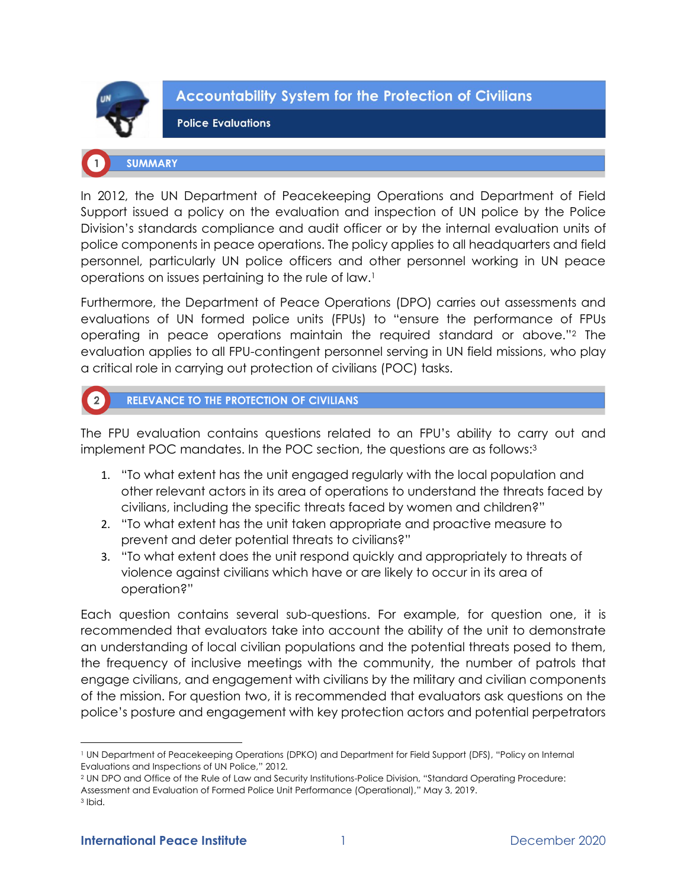

**Accountability System for the Protection of Civilians** 

**Police Evaluations** 

# **SUMMARY**

In 2012, the UN Department of Peacekeeping Operations and Department of Field Support issued a policy on the evaluation and inspection of UN police by the Police Division's standards compliance and audit officer or by the internal evaluation units of police components in peace operations. The policy applies to all headquarters and field personnel, particularly UN police officers and other personnel working in UN peace operations on issues pertaining to the rule of law.<sup>1</sup>

Furthermore, the Department of Peace Operations (DPO) carries out assessments and evaluations of UN formed police units (FPUs) to "ensure the performance of FPUs operating in peace operations maintain the required standard or above."<sup>2</sup> The evaluation applies to all FPU-contingent personnel serving in UN field missions, who play a critical role in carrying out protection of civilians (POC) tasks.



# RELEVANCE TO THE PROTECTION OF CIVILIANS

The FPU evaluation contains questions related to an FPU's ability to carry out and implement POC mandates. In the POC section, the questions are as follows: 3

- 1. "To what extent has the unit engaged regularly with the local population and other relevant actors in its area of operations to understand the threats faced by civilians, including the specific threats faced by women and children?"
- 2. "To what extent has the unit taken appropriate and proactive measure to prevent and deter potential threats to civilians?"
- 3. "To what extent does the unit respond quickly and appropriately to threats of violence against civilians which have or are likely to occur in its area of operation?"

Each question contains several sub-questions. For example, for question one, it is recommended that evaluators take into account the ability of the unit to demonstrate an understanding of local civilian populations and the potential threats posed to them, the frequency of inclusive meetings with the community, the number of patrols that engage civilians, and engagement with civilians by the military and civilian components of the mission. For question two, it is recommended that evaluators ask questions on the police's posture and engagement with key protection actors and potential perpetrators

<sup>2</sup> UN DPO and Office of the Rule of Law and Security Institutions-Police Division, "Standard Operating Procedure: Assessment and Evaluation of Formed Police Unit Performance (Operational)," May 3, 2019.

<sup>1</sup> UN Department of Peacekeeping Operations (DPKO) and Department for Field Support (DFS), "Policy on Internal Evaluations and Inspections of UN Police," 2012.

<sup>3</sup> Ibid.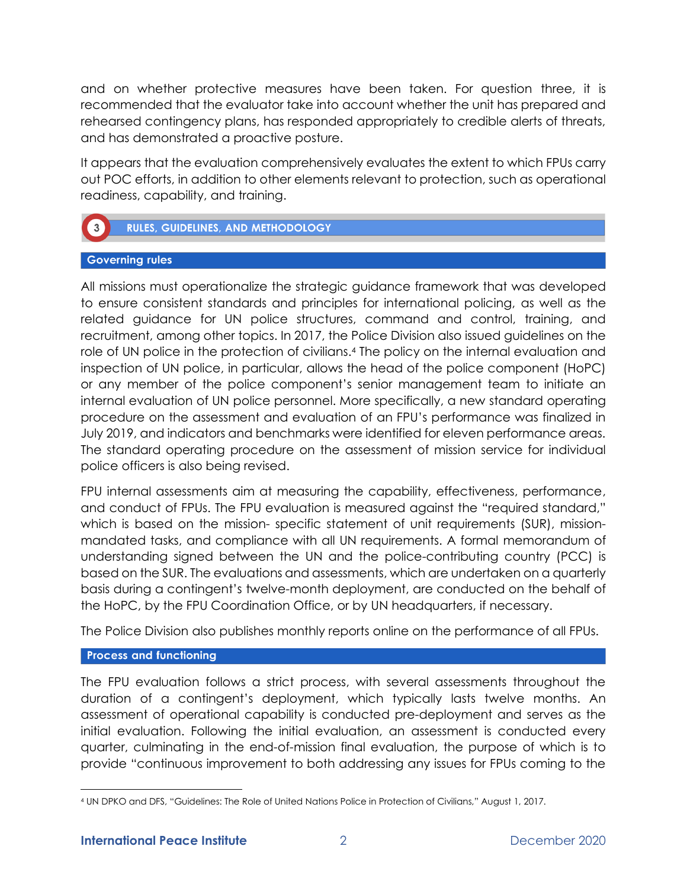and on whether protective measures have been taken. For question three, it is recommended that the evaluator take into account whether the unit has prepared and rehearsed contingency plans, has responded appropriately to credible alerts of threats, and has demonstrated a proactive posture.

It appears that the evaluation comprehensively evaluates the extent to which FPUs carry out POC efforts, in addition to other elements relevant to protection, such as operational readiness, capability, and training.



## **Governing rules**

All missions must operationalize the strategic guidance framework that was developed to ensure consistent standards and principles for international policing, as well as the related guidance for UN police structures, command and control, training, and recruitment, among other topics. In 2017, the Police Division also issued guidelines on the role of UN police in the protection of civilians.<sup>4</sup> The policy on the internal evaluation and inspection of UN police, in particular, allows the head of the police component (HoPC) or any member of the police component's senior management team to initiate an internal evaluation of UN police personnel. More specifically, a new standard operating procedure on the assessment and evaluation of an FPU's performance was finalized in July 2019, and indicators and benchmarks were identified for eleven performance areas. The standard operating procedure on the assessment of mission service for individual police officers is also being revised.

FPU internal assessments aim at measuring the capability, effectiveness, performance, and conduct of FPUs. The FPU evaluation is measured against the "required standard," which is based on the mission- specific statement of unit requirements (SUR), missionmandated tasks, and compliance with all UN requirements. A formal memorandum of understanding signed between the UN and the police-contributing country (PCC) is based on the SUR. The evaluations and assessments, which are undertaken on a quarterly basis during a contingent's twelve-month deployment, are conducted on the behalf of the HoPC, by the FPU Coordination Office, or by UN headquarters, if necessary.

The Police Division also publishes monthly reports online on the performance of all FPUs.

## **Process and functioning**

The FPU evaluation follows a strict process, with several assessments throughout the duration of a contingent's deployment, which typically lasts twelve months. An assessment of operational capability is conducted pre-deployment and serves as the initial evaluation. Following the initial evaluation, an assessment is conducted every quarter, culminating in the end-of-mission final evaluation, the purpose of which is to provide "continuous improvement to both addressing any issues for FPUs coming to the

<sup>4</sup> UN DPKO and DFS, "Guidelines: The Role of United Nations Police in Protection of Civilians," August 1, 2017.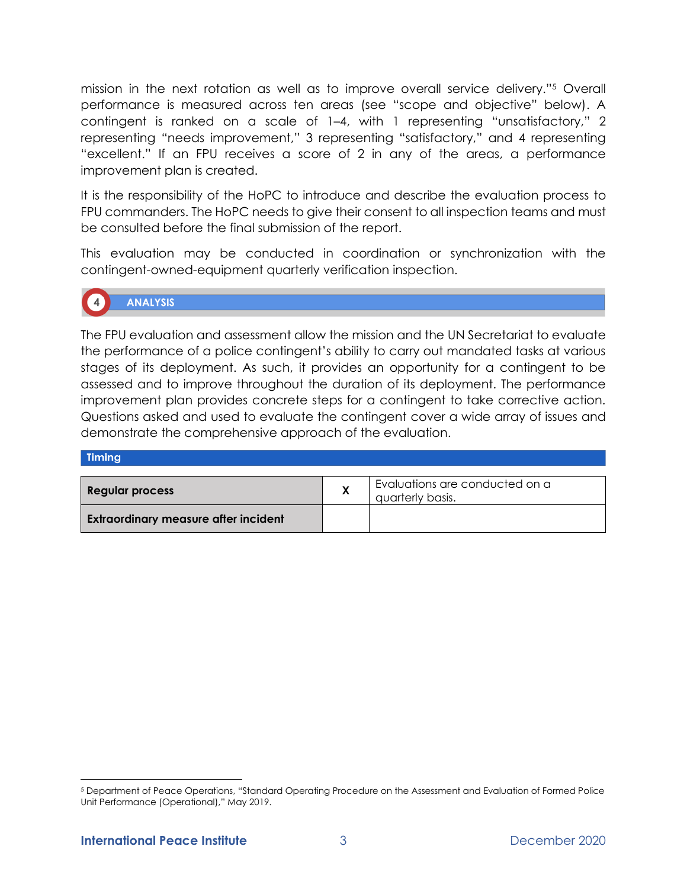mission in the next rotation as well as to improve overall service delivery."<sup>5</sup> Overall performance is measured across ten areas (see "scope and objective" below). A contingent is ranked on a scale of 1–4, with 1 representing "unsatisfactory," 2 representing "needs improvement," 3 representing "satisfactory," and 4 representing "excellent." If an FPU receives a score of 2 in any of the areas, a performance improvement plan is created.

It is the responsibility of the HoPC to introduce and describe the evaluation process to FPU commanders. The HoPC needs to give their consent to all inspection teams and must be consulted before the final submission of the report.

This evaluation may be conducted in coordination or synchronization with the contingent-owned-equipment quarterly verification inspection.

# **ANALYSIS**

The FPU evaluation and assessment allow the mission and the UN Secretariat to evaluate the performance of a police contingent's ability to carry out mandated tasks at various stages of its deployment. As such, it provides an opportunity for a contingent to be assessed and to improve throughout the duration of its deployment. The performance improvement plan provides concrete steps for a contingent to take corrective action. Questions asked and used to evaluate the contingent cover a wide array of issues and demonstrate the comprehensive approach of the evaluation.

#### **Timing**

| Regular process                             | Evaluations are conducted on a<br>quarterly basis. |
|---------------------------------------------|----------------------------------------------------|
| <b>Extraordinary measure after incident</b> |                                                    |

<sup>5</sup> Department of Peace Operations, "Standard Operating Procedure on the Assessment and Evaluation of Formed Police Unit Performance (Operational)," May 2019.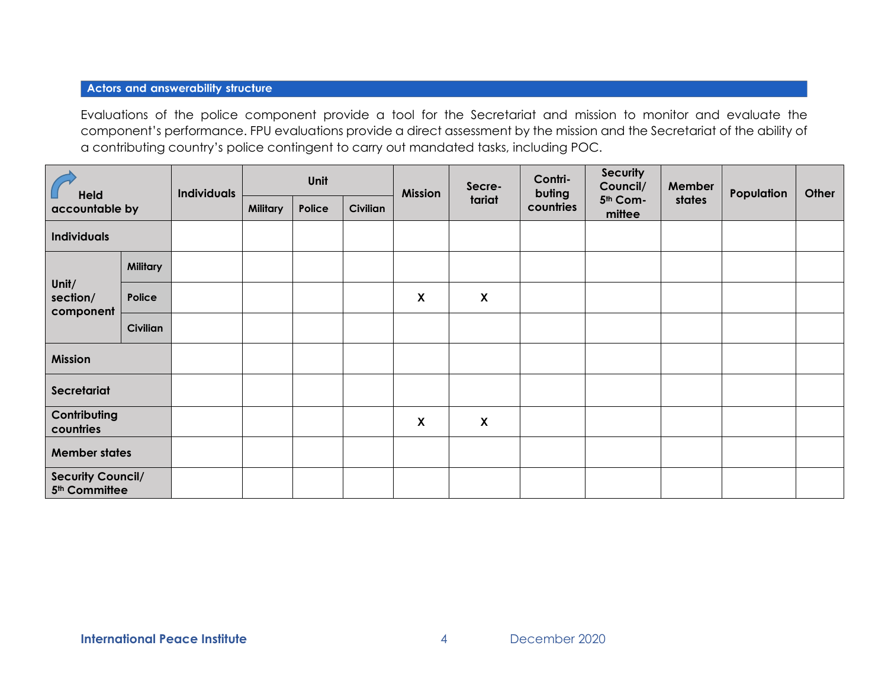## **Actors and answerability structure**

Evaluations of the police component provide a tool for the Secretariat and mission to monitor and evaluate the component's performance. FPU evaluations provide a direct assessment by the mission and the Secretariat of the ability of a contributing country's police contingent to carry out mandated tasks, including POC.

| <b>Held</b><br>accountable by                         |                 | <b>Individuals</b> | Unit            |        | <b>Mission</b>  | Secre- | Contri-<br>buting         | Security<br>Council/ | Member             | Population | Other |  |
|-------------------------------------------------------|-----------------|--------------------|-----------------|--------|-----------------|--------|---------------------------|----------------------|--------------------|------------|-------|--|
|                                                       |                 |                    | <b>Military</b> | Police | <b>Civilian</b> |        | tariat                    | countries            | 5th Com-<br>mittee | states     |       |  |
| <b>Individuals</b>                                    |                 |                    |                 |        |                 |        |                           |                      |                    |            |       |  |
| Unit/<br>section/<br>component                        | <b>Military</b> |                    |                 |        |                 |        |                           |                      |                    |            |       |  |
|                                                       | Police          |                    |                 |        |                 | X      | $\boldsymbol{X}$          |                      |                    |            |       |  |
|                                                       | Civilian        |                    |                 |        |                 |        |                           |                      |                    |            |       |  |
| <b>Mission</b>                                        |                 |                    |                 |        |                 |        |                           |                      |                    |            |       |  |
| Secretariat                                           |                 |                    |                 |        |                 |        |                           |                      |                    |            |       |  |
| Contributing<br>countries                             |                 |                    |                 |        |                 | X      | $\boldsymbol{\mathsf{X}}$ |                      |                    |            |       |  |
| <b>Member states</b>                                  |                 |                    |                 |        |                 |        |                           |                      |                    |            |       |  |
| <b>Security Council/</b><br>5 <sup>th</sup> Committee |                 |                    |                 |        |                 |        |                           |                      |                    |            |       |  |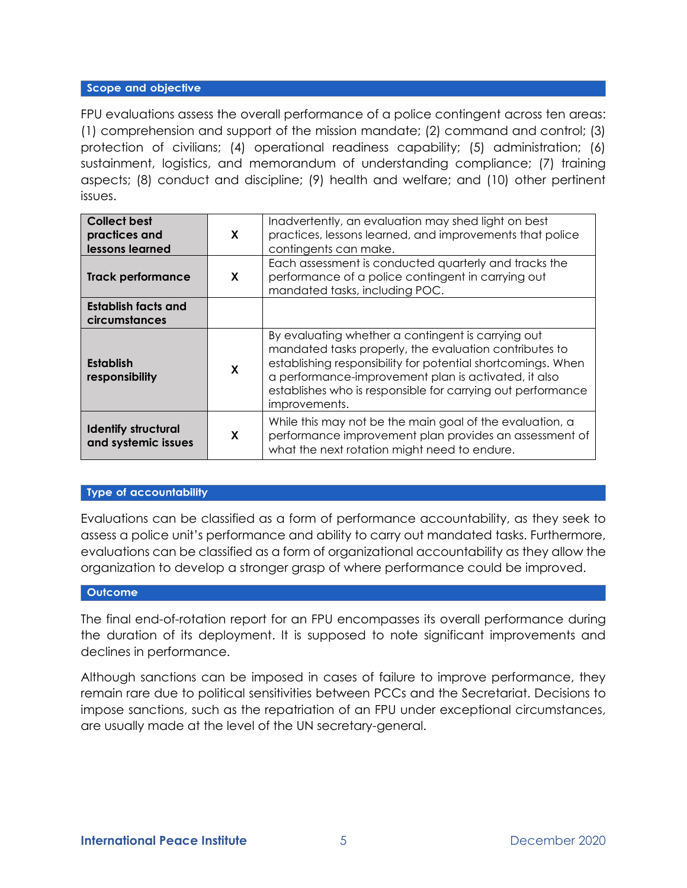### Scope and objective

FPU evaluations assess the overall performance of a police contingent across ten areas: (1) comprehension and support of the mission mandate; (2) command and control; (3) protection of civilians; (4) operational readiness capability; (5) administration; (6) sustainment, logistics, and memorandum of understanding compliance; (7) training aspects; (8) conduct and discipline; (9) health and welfare; and (10) other pertinent issues.

| <b>Collect best</b><br>practices and<br>lessons learned | X | Inadvertently, an evaluation may shed light on best<br>practices, lessons learned, and improvements that police<br>contingents can make.                                                                                                                                                                             |
|---------------------------------------------------------|---|----------------------------------------------------------------------------------------------------------------------------------------------------------------------------------------------------------------------------------------------------------------------------------------------------------------------|
| <b>Track performance</b>                                | X | Each assessment is conducted quarterly and tracks the<br>performance of a police contingent in carrying out<br>mandated tasks, including POC.                                                                                                                                                                        |
| <b>Establish facts and</b><br>circumstances             |   |                                                                                                                                                                                                                                                                                                                      |
| <b>Establish</b><br>responsibility                      | X | By evaluating whether a contingent is carrying out<br>mandated tasks properly, the evaluation contributes to<br>establishing responsibility for potential shortcomings. When<br>a performance-improvement plan is activated, it also<br>establishes who is responsible for carrying out performance<br>improvements. |
| <b>Identify structural</b><br>and systemic issues       | X | While this may not be the main goal of the evaluation, a<br>performance improvement plan provides an assessment of<br>what the next rotation might need to endure.                                                                                                                                                   |

### **Type of accountability**

Evaluations can be classified as a form of performance accountability, as they seek to assess a police unit's performance and ability to carry out mandated tasks. Furthermore, evaluations can be classified as a form of organizational accountability as they allow the organization to develop a stronger grasp of where performance could be improved.

#### **Outcome**

The final end-of-rotation report for an FPU encompasses its overall performance during the duration of its deployment. It is supposed to note significant improvements and declines in performance.

Although sanctions can be imposed in cases of failure to improve performance, they remain rare due to political sensitivities between PCCs and the Secretariat. Decisions to impose sanctions, such as the repatriation of an FPU under exceptional circumstances, are usually made at the level of the UN secretary-general.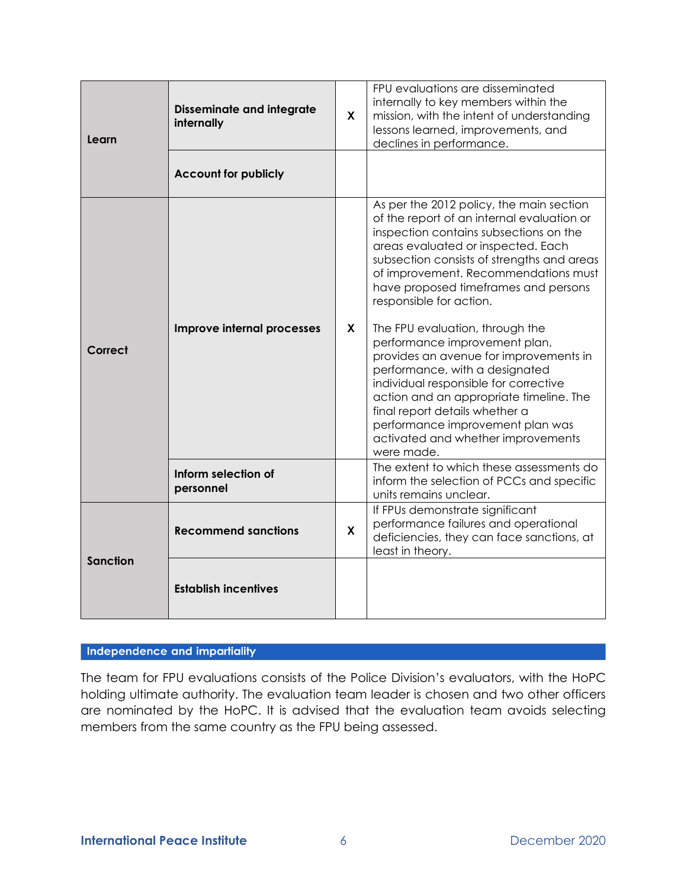| Learn           | <b>Disseminate and integrate</b><br>internally | X | FPU evaluations are disseminated<br>internally to key members within the<br>mission, with the intent of understanding<br>lessons learned, improvements, and<br>declines in performance.                                                                                                                                                                                                                                                       |  |  |
|-----------------|------------------------------------------------|---|-----------------------------------------------------------------------------------------------------------------------------------------------------------------------------------------------------------------------------------------------------------------------------------------------------------------------------------------------------------------------------------------------------------------------------------------------|--|--|
|                 | <b>Account for publicly</b>                    |   |                                                                                                                                                                                                                                                                                                                                                                                                                                               |  |  |
| Correct         | Improve internal processes                     |   | As per the 2012 policy, the main section<br>of the report of an internal evaluation or<br>inspection contains subsections on the<br>areas evaluated or inspected. Each<br>subsection consists of strengths and areas<br>of improvement. Recommendations must<br>have proposed timeframes and persons<br>responsible for action.<br>The FPU evaluation, through the<br>performance improvement plan,<br>provides an avenue for improvements in |  |  |
|                 |                                                |   | performance, with a designated<br>individual responsible for corrective<br>action and an appropriate timeline. The<br>final report details whether a<br>performance improvement plan was<br>activated and whether improvements<br>were made.                                                                                                                                                                                                  |  |  |
|                 | Inform selection of<br>personnel               |   | The extent to which these assessments do<br>inform the selection of PCCs and specific<br>units remains unclear.                                                                                                                                                                                                                                                                                                                               |  |  |
| <b>Sanction</b> | <b>Recommend sanctions</b>                     | X | If FPUs demonstrate significant<br>performance failures and operational<br>deficiencies, they can face sanctions, at<br>least in theory.                                                                                                                                                                                                                                                                                                      |  |  |
|                 | <b>Establish incentives</b>                    |   |                                                                                                                                                                                                                                                                                                                                                                                                                                               |  |  |

# Independence and impartiality

The team for FPU evaluations consists of the Police Division's evaluators, with the HoPC holding ultimate authority. The evaluation team leader is chosen and two other officers are nominated by the HoPC. It is advised that the evaluation team avoids selecting members from the same country as the FPU being assessed.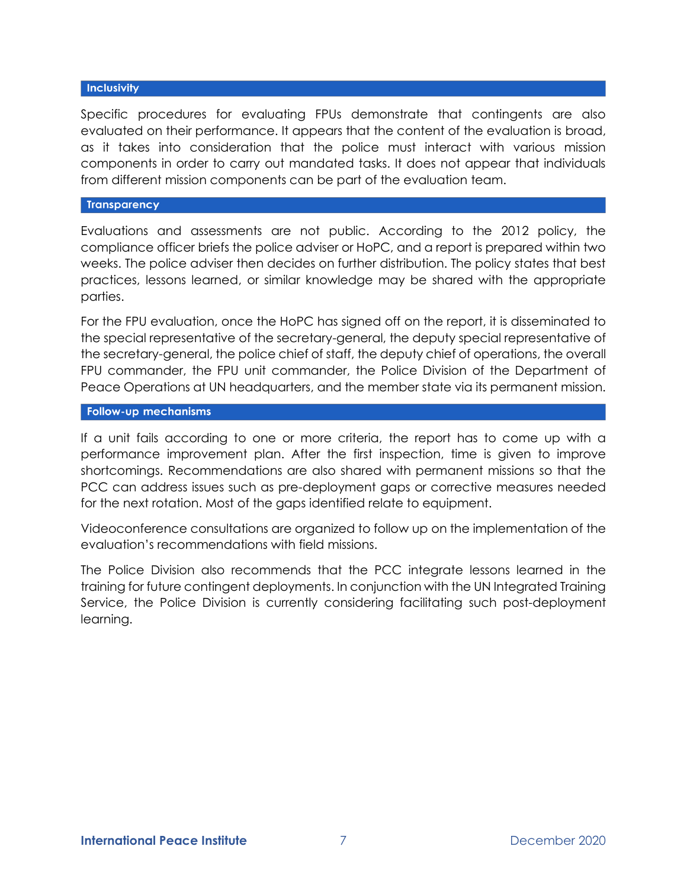### **Inclusivity**

Specific procedures for evaluating FPUs demonstrate that contingents are also evaluated on their performance. It appears that the content of the evaluation is broad, as it takes into consideration that the police must interact with various mission components in order to carry out mandated tasks. It does not appear that individuals from different mission components can be part of the evaluation team.

#### **Transparency**

Evaluations and assessments are not public. According to the 2012 policy, the compliance officer briefs the police adviser or HoPC, and a report is prepared within two weeks. The police adviser then decides on further distribution. The policy states that best practices, lessons learned, or similar knowledge may be shared with the appropriate parties.

For the FPU evaluation, once the HoPC has signed off on the report, it is disseminated to the special representative of the secretary-general, the deputy special representative of the secretary-general, the police chief of staff, the deputy chief of operations, the overall FPU commander, the FPU unit commander, the Police Division of the Department of Peace Operations at UN headquarters, and the member state via its permanent mission.

#### **Follow-up mechanisms**

If a unit fails according to one or more criteria, the report has to come up with a performance improvement plan. After the first inspection, time is given to improve shortcomings. Recommendations are also shared with permanent missions so that the PCC can address issues such as pre-deployment gaps or corrective measures needed for the next rotation. Most of the gaps identified relate to equipment.

Videoconference consultations are organized to follow up on the implementation of the evaluation's recommendations with field missions.

The Police Division also recommends that the PCC integrate lessons learned in the training for future contingent deployments. In conjunction with the UN Integrated Training Service, the Police Division is currently considering facilitating such post-deployment learning.